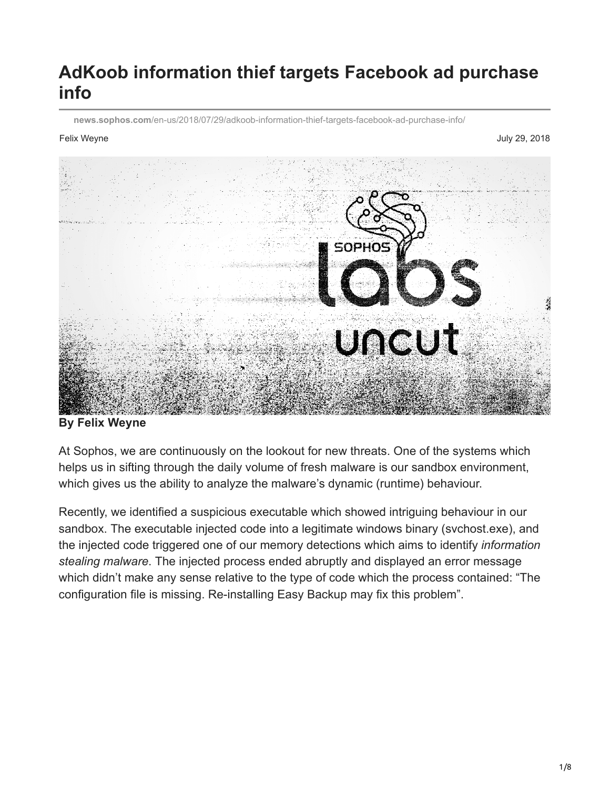# **AdKoob information thief targets Facebook ad purchase info**

**news.sophos.com**[/en-us/2018/07/29/adkoob-information-thief-targets-facebook-ad-purchase-info/](https://news.sophos.com/en-us/2018/07/29/adkoob-information-thief-targets-facebook-ad-purchase-info/)

Felix Weyne July 29, 2018



#### **By Felix Weyne**

At Sophos, we are continuously on the lookout for new threats. One of the systems which helps us in sifting through the daily volume of fresh malware is our sandbox environment, which gives us the ability to analyze the malware's dynamic (runtime) behaviour.

Recently, we identified a suspicious executable which showed intriguing behaviour in our sandbox. The executable injected code into a legitimate windows binary (svchost.exe), and the injected code triggered one of our memory detections which aims to identify *information stealing malware*. The injected process ended abruptly and displayed an error message which didn't make any sense relative to the type of code which the process contained: "The configuration file is missing. Re-installing Easy Backup may fix this problem".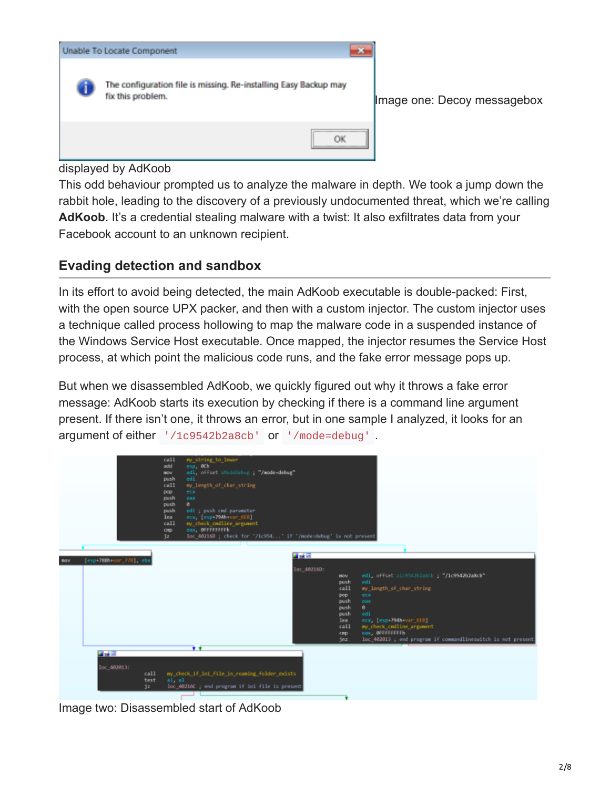

displayed by AdKoob

This odd behaviour prompted us to analyze the malware in depth. We took a jump down the rabbit hole, leading to the discovery of a previously undocumented threat, which we're calling AdKoob. It's a credential stealing malware with a twist: It also exfiltrates data from your Facebook account to an unknown recipient.

### **Evading detection and sandbox**

In its effort to avoid being detected, the main AdKoob executable is double-packed: First, with the open source UPX packer, and then with a custom injector. The custom injector uses a technique called process hollowing to map the malware code in a suspended instance of the Windows Service Host executable. Once mapped, the injector resumes the Service Host process, at which point the malicious code runs, and the fake error message pops up.

But when we disassembled AdKoob, we quickly figured out why it throws a fake error message: AdKoob starts its execution by checking if there is a command line argument present. If there isn't one, it throws an error, but in one sample I analyzed, it looks for an argument of either '/1c9542b2a8cb' or '/mode=debug' .



Image two: Disassembled start of AdKoob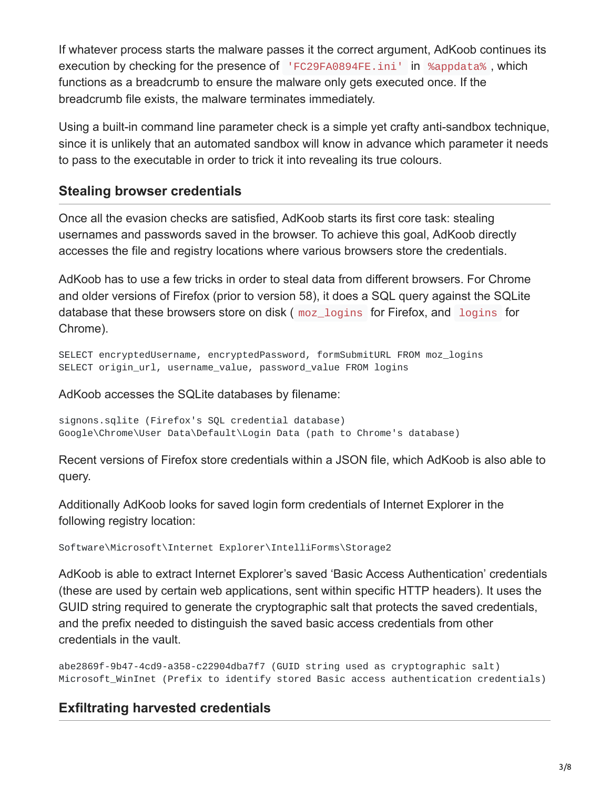If whatever process starts the malware passes it the correct argument, AdKoob continues its execution by checking for the presence of 'FC29FA0894FE.ini' in %appdata% , which functions as a breadcrumb to ensure the malware only gets executed once. If the breadcrumb file exists, the malware terminates immediately.

Using a built-in command line parameter check is a simple yet crafty anti-sandbox technique, since it is unlikely that an automated sandbox will know in advance which parameter it needs to pass to the executable in order to trick it into revealing its true colours.

# **Stealing browser credentials**

Once all the evasion checks are satisfied, AdKoob starts its first core task: stealing usernames and passwords saved in the browser. To achieve this goal, AdKoob directly accesses the file and registry locations where various browsers store the credentials.

AdKoob has to use a few tricks in order to steal data from different browsers. For Chrome and older versions of Firefox (prior to version 58), it does a SQL query against the SQLite database that these browsers store on disk ( moz\_logins for Firefox, and logins for Chrome).

SELECT encryptedUsername, encryptedPassword, formSubmitURL FROM moz\_logins SELECT origin\_url, username\_value, password\_value FROM logins

AdKoob accesses the SQLite databases by filename:

```
signons.sqlite (Firefox's SQL credential database)
Google\Chrome\User Data\Default\Login Data (path to Chrome's database)
```
Recent versions of Firefox store credentials within a JSON file, which AdKoob is also able to query.

Additionally AdKoob looks for saved login form credentials of Internet Explorer in the following registry location:

Software\Microsoft\Internet Explorer\IntelliForms\Storage2

AdKoob is able to extract Internet Explorer's saved 'Basic Access Authentication' credentials (these are used by certain web applications, sent within specific HTTP headers). It uses the GUID string required to generate the cryptographic salt that protects the saved credentials, and the prefix needed to distinguish the saved basic access credentials from other credentials in the vault.

abe2869f-9b47-4cd9-a358-c22904dba7f7 (GUID string used as cryptographic salt) Microsoft\_WinInet (Prefix to identify stored Basic access authentication credentials)

# **Exfiltrating harvested credentials**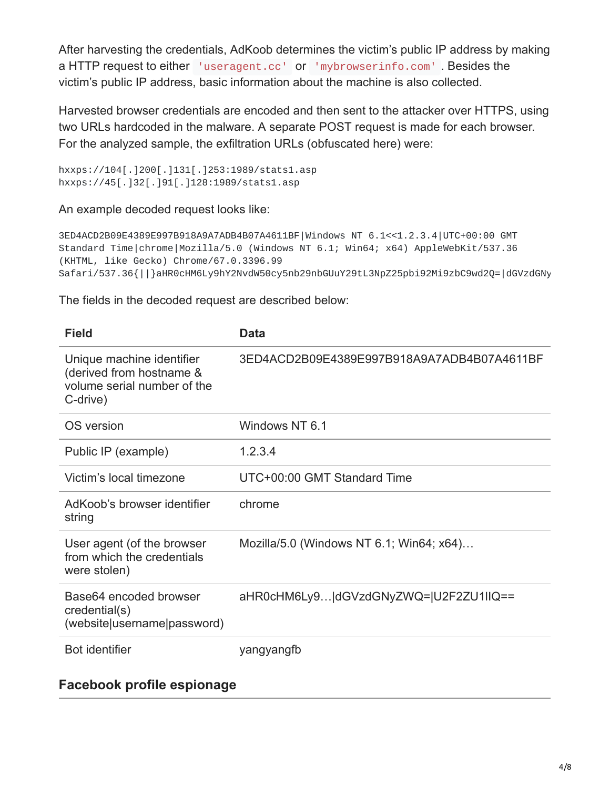After harvesting the credentials, AdKoob determines the victim's public IP address by making a HTTP request to either 'useragent.cc' or 'mybrowserinfo.com' . Besides the victim's public IP address, basic information about the machine is also collected.

Harvested browser credentials are encoded and then sent to the attacker over HTTPS, using two URLs hardcoded in the malware. A separate POST request is made for each browser. For the analyzed sample, the exfiltration URLs (obfuscated here) were:

hxxps://104[.]200[.]131[.]253:1989/stats1.asp hxxps://45[.]32[.]91[.]128:1989/stats1.asp

An example decoded request looks like:

```
3ED4ACD2B09E4389E997B918A9A7ADB4B07A4611BF|Windows NT 6.1<<1.2.3.4|UTC+00:00 GMT
Standard Time|chrome|Mozilla/5.0 (Windows NT 6.1; Win64; x64) AppleWebKit/537.36
(KHTML, like Gecko) Chrome/67.0.3396.99
Safari/537.36{||}aHR0cHM6Ly9hY2NvdW50cy5nb29nbGUuY29tL3NpZ25pbi92Mi9zbC9wd2Q=|dGVzdGNy
```
The fields in the decoded request are described below:

| <b>Field</b>                                                                                     | <b>Data</b>                                |
|--------------------------------------------------------------------------------------------------|--------------------------------------------|
| Unique machine identifier<br>(derived from hostname &<br>volume serial number of the<br>C-drive) | 3ED4ACD2B09E4389E997B918A9A7ADB4B07A4611BF |
| OS version                                                                                       | Windows NT 6.1                             |
| Public IP (example)                                                                              | 1.2.3.4                                    |
| Victim's local timezone                                                                          | UTC+00:00 GMT Standard Time                |
| AdKoob's browser identifier<br>string                                                            | chrome                                     |
| User agent (of the browser<br>from which the credentials<br>were stolen)                         | Mozilla/5.0 (Windows NT 6.1; Win64; x64)   |
| Base64 encoded browser<br>credential(s)<br>(website username password)                           | aHR0cHM6Ly9 dGVzdGNyZWQ= U2F2ZU1IIQ==      |
| <b>Bot identifier</b>                                                                            | yangyangfb                                 |

### **Facebook profile espionage**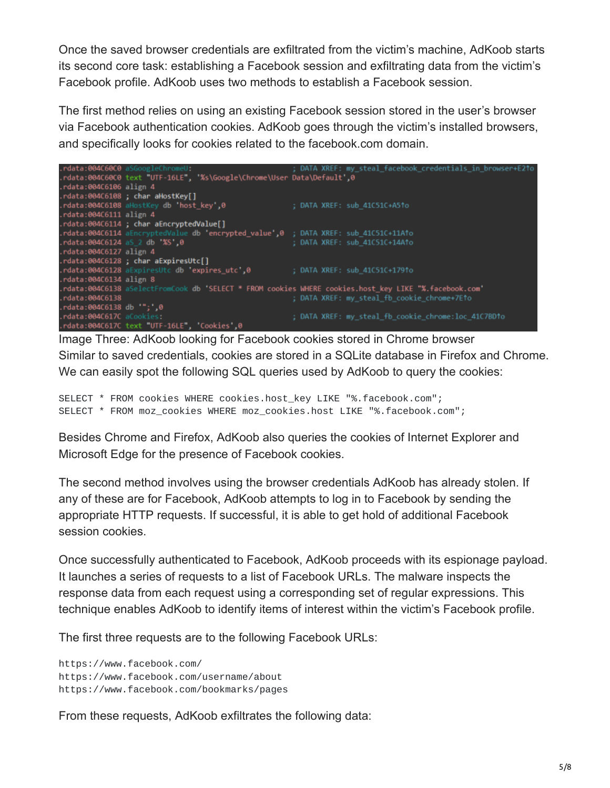Once the saved browser credentials are exfiltrated from the victim's machine, AdKoob starts its second core task: establishing a Facebook session and exfiltrating data from the victim's Facebook profile. AdKoob uses two methods to establish a Facebook session.

The first method relies on using an existing Facebook session stored in the user's browser via Facebook authentication cookies. AdKoob goes through the victim's installed browsers, and specifically looks for cookies related to the facebook.com domain.



Image Three: AdKoob looking for Facebook cookies stored in Chrome browser Similar to saved credentials, cookies are stored in a SQLite database in Firefox and Chrome. We can easily spot the following SQL queries used by AdKoob to query the cookies:

SELECT \* FROM cookies WHERE cookies.host\_key LIKE "%.facebook.com"; SELECT \* FROM moz\_cookies WHERE moz\_cookies.host LIKE "%.facebook.com";

Besides Chrome and Firefox, AdKoob also queries the cookies of Internet Explorer and Microsoft Edge for the presence of Facebook cookies.

The second method involves using the browser credentials AdKoob has already stolen. If any of these are for Facebook, AdKoob attempts to log in to Facebook by sending the appropriate HTTP requests. If successful, it is able to get hold of additional Facebook session cookies.

Once successfully authenticated to Facebook, AdKoob proceeds with its espionage payload. It launches a series of requests to a list of Facebook URLs. The malware inspects the response data from each request using a corresponding set of regular expressions. This technique enables AdKoob to identify items of interest within the victim's Facebook profile.

The first three requests are to the following Facebook URLs:

https://www.facebook.com/ https://www.facebook.com/username/about https://www.facebook.com/bookmarks/pages

From these requests, AdKoob exfiltrates the following data: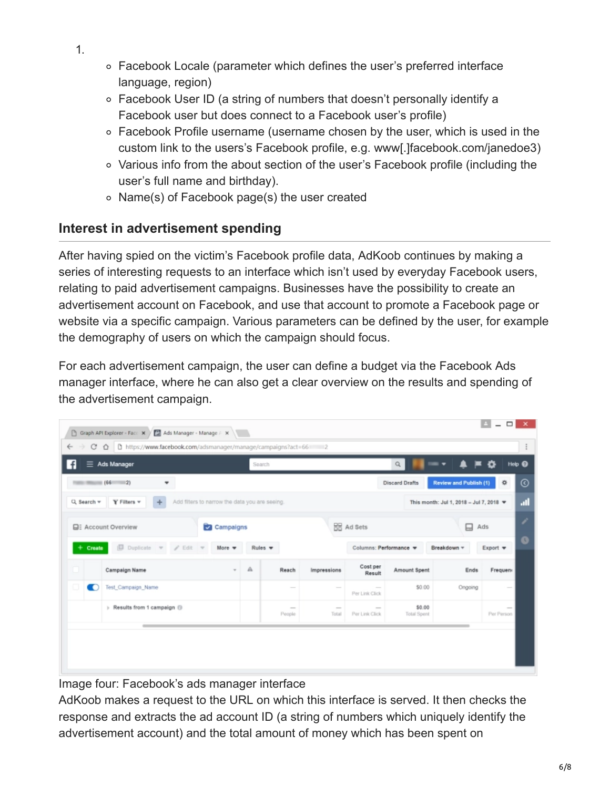- 1.
- Facebook Locale (parameter which defines the user's preferred interface language, region)
- Facebook User ID (a string of numbers that doesn't personally identify a Facebook user but does connect to a Facebook user's profile)
- Facebook Profile username (username chosen by the user, which is used in the custom link to the users's Facebook profile, e.g. www[.]facebook.com/janedoe3)
- Various info from the about section of the user's Facebook profile (including the user's full name and birthday).
- Name(s) of Facebook page(s) the user created

# **Interest in advertisement spending**

After having spied on the victim's Facebook profile data, AdKoob continues by making a series of interesting requests to an interface which isn't used by everyday Facebook users, relating to paid advertisement campaigns. Businesses have the possibility to create an advertisement account on Facebook, and use that account to promote a Facebook page or website via a specific campaign. Various parameters can be defined by the user, for example the demography of users on which the campaign should focus.

For each advertisement campaign, the user can define a budget via the Facebook Ads manager interface, where he can also get a clear overview on the results and spending of the advertisement campaign.

| $\equiv$ Ads Manager                     |                                       |                                                | Help <sup>@</sup><br>$\alpha$<br>Search |                                                 |                 |                          |                              |                                         |                      |  |
|------------------------------------------|---------------------------------------|------------------------------------------------|-----------------------------------------|-------------------------------------------------|-----------------|--------------------------|------------------------------|-----------------------------------------|----------------------|--|
| 1881 William (66)<br>$-21$<br>٠          |                                       |                                                |                                         | Review and Publish (1)<br><b>Discard Drafts</b> |                 |                          |                              |                                         |                      |  |
| Q Search =                               | $Y$ Filters $=$                       | Add filters to narrow the data you are seeing. |                                         |                                                 |                 |                          |                              | This month: Jul 1, 2018 - Jul 7, 2018 = |                      |  |
| <b>EE:</b> Account Overview<br>Campaigns |                                       |                                                |                                         |                                                 |                 | <b>HE</b> Ad Sets        | 口<br>Ads                     |                                         |                      |  |
| $+$ Create                               | $D$ uplicate $\forall$ Edit $\forall$ | More $\sqrt{}$                                 | Rules =                                 |                                                 |                 | Columns: Performance =   |                              | Breakdown =                             | $Export =$           |  |
|                                          | Campaign Name                         |                                                | Α                                       | Reach                                           | Impressions     | Cost per<br>Result       | Amount Spent                 | Ends                                    | Frequent             |  |
| m                                        | Test Campaign Name                    |                                                |                                         | $\sim$                                          |                 | Per Link Click           | \$0.00                       | Ongoing                                 |                      |  |
|                                          | > Results from 1 campaign ()          |                                                |                                         | $\sim$<br>People                                | $\sim$<br>Total | $\sim$<br>Per Link Click | \$0.00<br><b>Total Spent</b> |                                         | $\sim$<br>Per Person |  |

Image four: Facebook's ads manager interface

AdKoob makes a request to the URL on which this interface is served. It then checks the response and extracts the ad account ID (a string of numbers which uniquely identify the advertisement account) and the total amount of money which has been spent on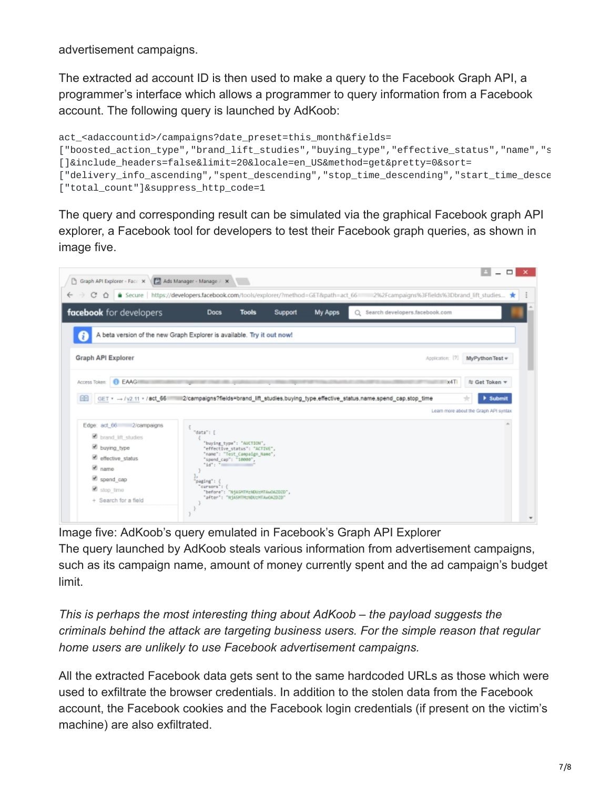advertisement campaigns.

The extracted ad account ID is then used to make a query to the Facebook Graph API, a programmer's interface which allows a programmer to query information from a Facebook account. The following query is launched by AdKoob:

```
act_<adaccountid>/campaigns?date_preset=this_month&fields=
["boosted_action_type","brand_lift_studies","buying_type","effective_status","name","s
[]&include_headers=false&limit=20&locale=en_US&method=get&pretty=0&sort=
["delivery_info_ascending","spent_descending","stop_time_descending","start_time_desce
["total_count"]&suppress_http_code=1
```
The query and corresponding result can be simulated via the graphical Facebook graph API explorer, a Facebook tool for developers to test their Facebook graph queries, as shown in image five.



Image five: AdKoob's query emulated in Facebook's Graph API Explorer The query launched by AdKoob steals various information from advertisement campaigns, such as its campaign name, amount of money currently spent and the ad campaign's budget limit.

*This is perhaps the most interesting thing about AdKoob – the payload suggests the criminals behind the attack are targeting business users. For the simple reason that regular home users are unlikely to use Facebook advertisement campaigns.*

All the extracted Facebook data gets sent to the same hardcoded URLs as those which were used to exfiltrate the browser credentials. In addition to the stolen data from the Facebook account, the Facebook cookies and the Facebook login credentials (if present on the victim's machine) are also exfiltrated.